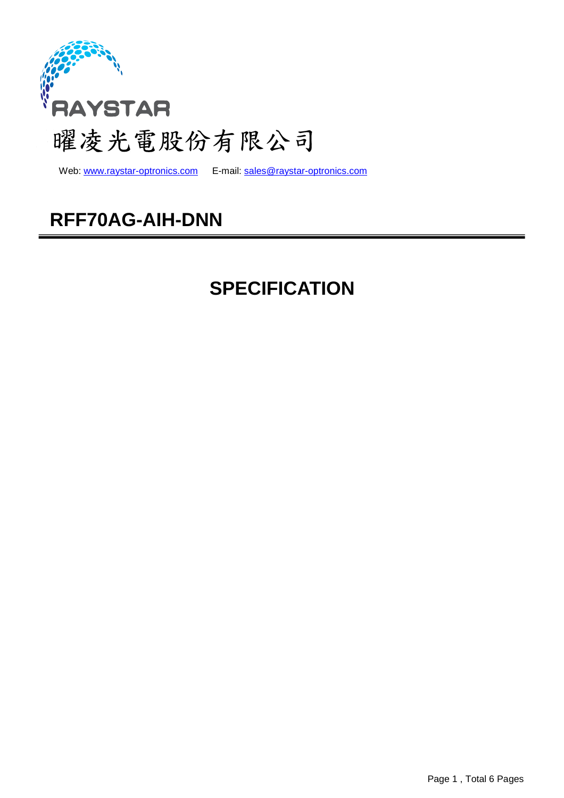

Web: www.raystar-optronics.com E-mail: sales@raystar-optronics.com

## **RFF70AG-AIH-DNN**

## **SPECIFICATION**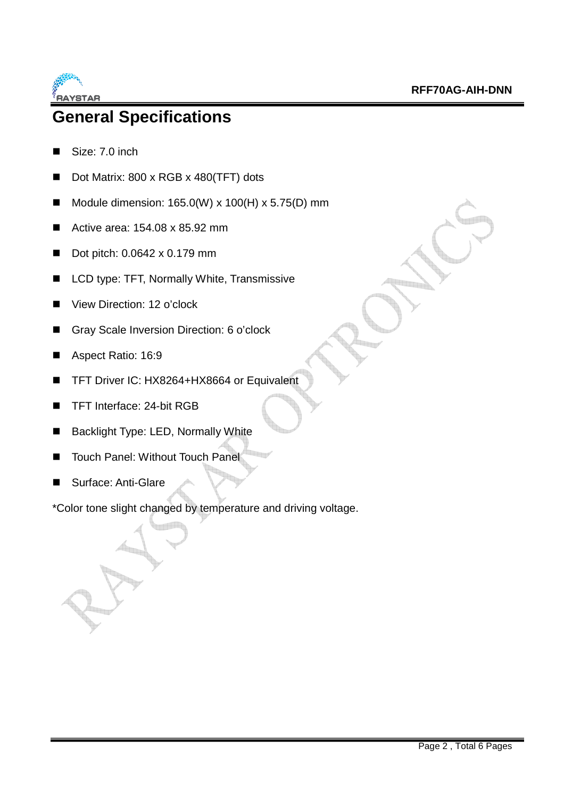

### **General Specifications**

- Size: 7.0 inch
- Dot Matrix: 800 x RGB x 480(TFT) dots
- Module dimension:  $165.0(W) \times 100(H) \times 5.75(D)$  mm
- Active area:  $154.08 \times 85.92 \text{ mm}$
- Dot pitch: 0.0642 x 0.179 mm
- LCD type: TFT, Normally White, Transmissive
- View Direction: 12 o'clock
- Gray Scale Inversion Direction: 6 o'clock
- Aspect Ratio: 16:9
- TFT Driver IC: HX8264+HX8664 or Equivalent
- TFT Interface: 24-bit RGB
- Backlight Type: LED, Normally White
- Touch Panel: Without Touch Panel
- Surface: Anti-Glare

\*Color tone slight changed by temperature and driving voltage.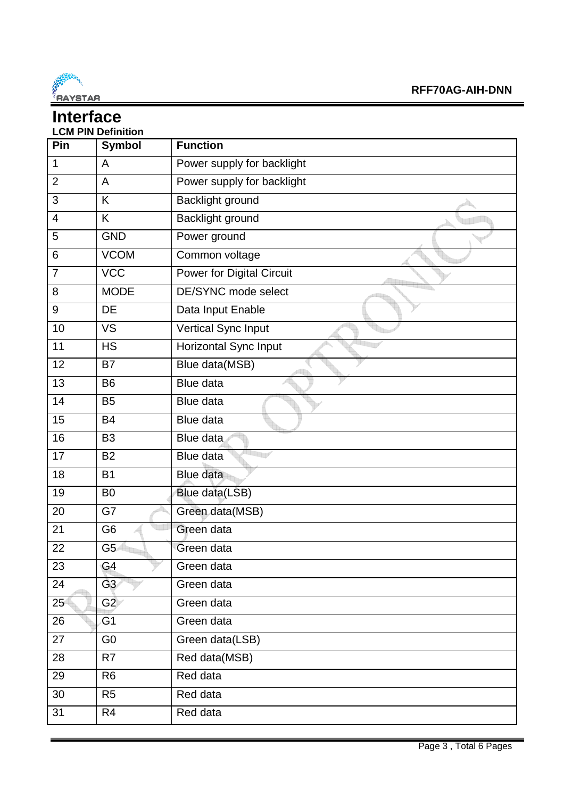

#### **Interface LCM PIN Definition**

| Pin             | LVIII I III PCHIIIUUI<br><b>Symbol</b> | <b>Function</b>                  |
|-----------------|----------------------------------------|----------------------------------|
| 1               | A                                      |                                  |
|                 |                                        | Power supply for backlight       |
| $\overline{2}$  | A                                      | Power supply for backlight       |
| 3               | K                                      | Backlight ground                 |
| 4               | K                                      | Backlight ground                 |
| 5               | <b>GND</b>                             | Power ground                     |
| 6               | <b>VCOM</b>                            | Common voltage                   |
| $\overline{7}$  | <b>VCC</b>                             | <b>Power for Digital Circuit</b> |
| 8               | <b>MODE</b>                            | DE/SYNC mode select              |
| 9               | <b>DE</b>                              | Data Input Enable                |
| 10              | <b>VS</b>                              | Vertical Sync Input              |
| 11              | <b>HS</b>                              | Horizontal Sync Input            |
| 12              | B7                                     | Blue data(MSB)                   |
| 13              | <b>B6</b>                              | <b>Blue data</b>                 |
| 14              | <b>B5</b>                              | Blue data                        |
| 15              | <b>B4</b>                              | Blue data                        |
| 16              | B <sub>3</sub>                         | Blue data                        |
| 17              | <b>B2</b>                              | Blue data                        |
| 18              | <b>B1</b>                              | Blue data                        |
| 19              | B <sub>0</sub>                         | Blue data(LSB)                   |
| 20              | G7                                     | Green data(MSB)                  |
| 21              | G <sub>6</sub>                         | Green data                       |
| 22              | G <sub>5</sub>                         | Green data                       |
| 23              | G4                                     | Green data                       |
| 24              | G3                                     | Green data                       |
| 25 <sup>°</sup> | G2                                     | Green data                       |
| 26              | G1                                     | Green data                       |
| 27              | G <sub>0</sub>                         | Green data(LSB)                  |
| 28              | R7                                     | Red data(MSB)                    |
| 29              | R <sub>6</sub>                         | Red data                         |
| 30              | R <sub>5</sub>                         | Red data                         |
| 31              | R <sub>4</sub>                         | Red data                         |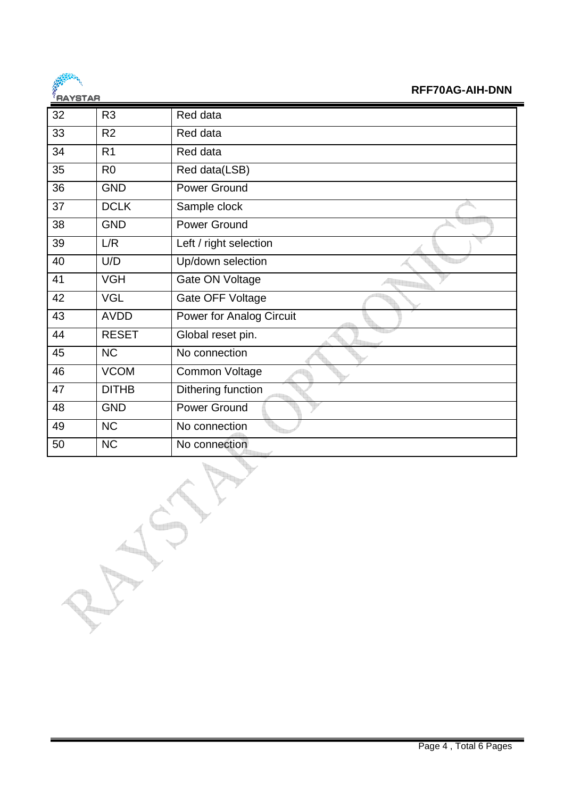

#### **RFF70AG-AIH-DNN**

| 5819185 |                |                                 |
|---------|----------------|---------------------------------|
| 32      | R <sub>3</sub> | Red data                        |
| 33      | R <sub>2</sub> | Red data                        |
| 34      | R <sub>1</sub> | Red data                        |
| 35      | R <sub>0</sub> | Red data(LSB)                   |
| 36      | <b>GND</b>     | <b>Power Ground</b>             |
| 37      | <b>DCLK</b>    | Sample clock                    |
| 38      | <b>GND</b>     | <b>Power Ground</b>             |
| 39      | L/R            | Left / right selection          |
| 40      | U/D            | Up/down selection               |
| 41      | <b>VGH</b>     | Gate ON Voltage                 |
| 42      | <b>VGL</b>     | Gate OFF Voltage                |
| 43      | <b>AVDD</b>    | <b>Power for Analog Circuit</b> |
| 44      | <b>RESET</b>   | Global reset pin.               |
| 45      | <b>NC</b>      | No connection                   |
| 46      | <b>VCOM</b>    | Common Voltage                  |
| 47      | <b>DITHB</b>   | Dithering function              |
| 48      | <b>GND</b>     | <b>Power Ground</b>             |
| 49      | <b>NC</b>      | No connection                   |
| 50      | <b>NC</b>      | No connection                   |
|         |                |                                 |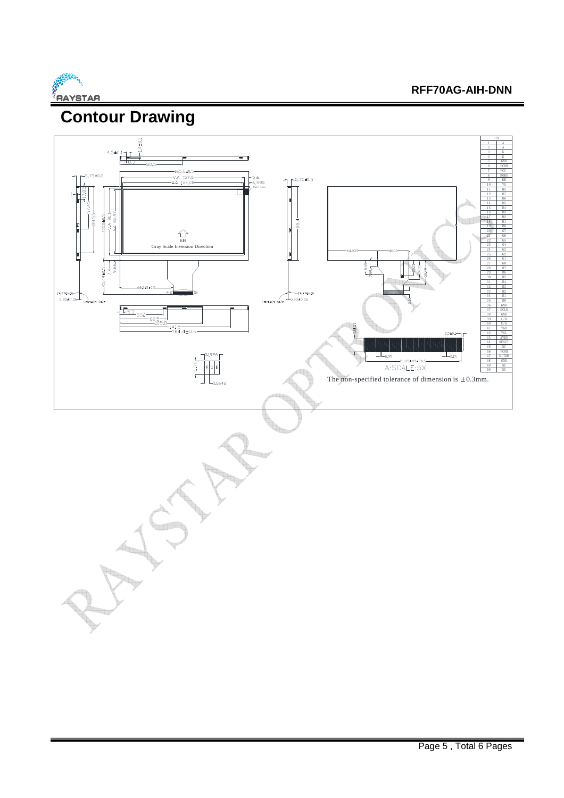

#### **RFF70AG-AIH-DNN**

# **Contour Drawing**